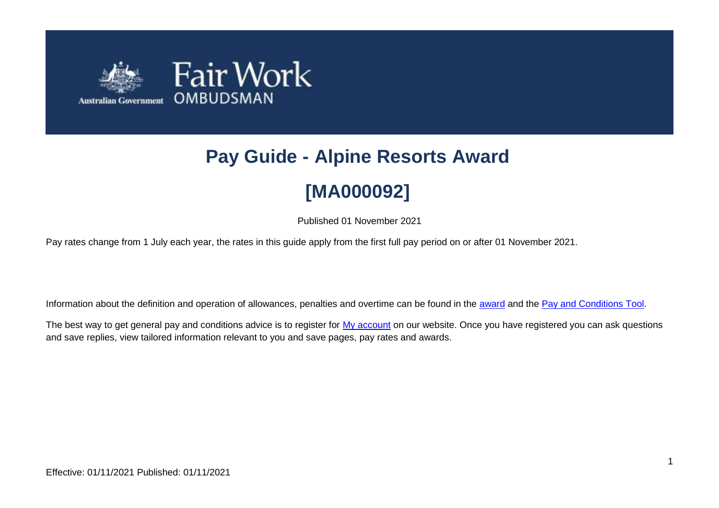

# **Pay Guide - Alpine Resorts Award [MA000092]**

Published 01 November 2021

Pay rates change from 1 July each year, the rates in this guide apply from the first full pay period on or after 01 November 2021.

Information about the definition and operation of allowances, penalties and overtime can be found in the [award](https://www.fairwork.gov.au/awards-and-agreements/awards/list-of-awards) and the [Pay and Conditions Tool.](https://calculate.fairwork.gov.au/)

The best way to get general pay and conditions advice is to register for [My account](https://www.fairwork.gov.au/my-account/registerpage.aspx) on our website. Once you have registered you can ask questions and save replies, view tailored information relevant to you and save pages, pay rates and awards.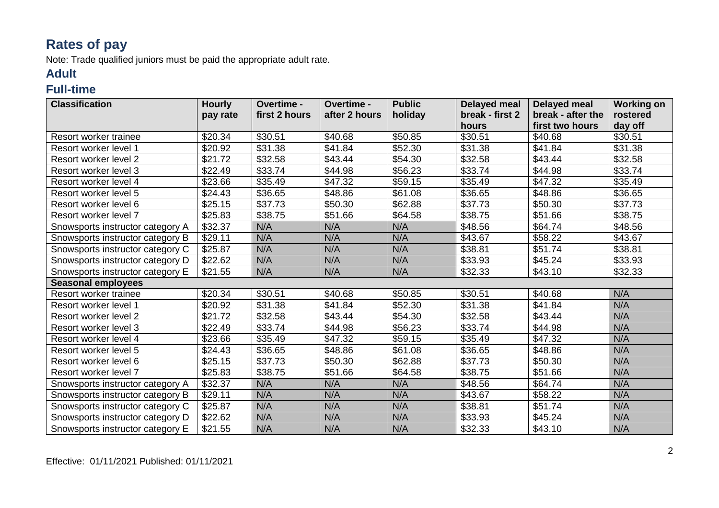## **Rates of pay**

Note: Trade qualified juniors must be paid the appropriate adult rate.

#### **Adult**

#### **Full-time**

| <b>Classification</b>            | <b>Hourly</b> | Overtime -    | Overtime -    | <b>Public</b> | <b>Delayed meal</b> | <b>Delayed meal</b> | <b>Working on</b> |
|----------------------------------|---------------|---------------|---------------|---------------|---------------------|---------------------|-------------------|
|                                  | pay rate      | first 2 hours | after 2 hours | holiday       | break - first 2     | break - after the   | rostered          |
|                                  |               |               |               |               | hours               | first two hours     | day off           |
| Resort worker trainee            | \$20.34       | \$30.51       | \$40.68       | \$50.85       | \$30.51             | \$40.68             | \$30.51           |
| Resort worker level 1            | \$20.92       | \$31.38       | \$41.84       | \$52.30       | \$31.38             | \$41.84             | \$31.38           |
| Resort worker level 2            | \$21.72       | \$32.58       | \$43.44       | \$54.30       | \$32.58             | \$43.44             | \$32.58           |
| Resort worker level 3            | \$22.49       | \$33.74       | \$44.98       | \$56.23       | \$33.74             | \$44.98             | \$33.74           |
| Resort worker level 4            | \$23.66       | \$35.49       | \$47.32       | \$59.15       | \$35.49             | \$47.32             | \$35.49           |
| Resort worker level 5            | \$24.43       | \$36.65       | \$48.86       | \$61.08       | \$36.65             | \$48.86             | \$36.65           |
| Resort worker level 6            | \$25.15       | \$37.73       | \$50.30       | \$62.88       | \$37.73             | \$50.30             | \$37.73           |
| Resort worker level 7            | \$25.83       | \$38.75       | \$51.66       | \$64.58       | \$38.75             | \$51.66             | \$38.75           |
| Snowsports instructor category A | \$32.37       | N/A           | N/A           | N/A           | \$48.56             | \$64.74             | \$48.56           |
| Snowsports instructor category B | \$29.11       | N/A           | N/A           | N/A           | \$43.67             | \$58.22             | \$43.67           |
| Snowsports instructor category C | \$25.87       | N/A           | N/A           | N/A           | \$38.81             | \$51.74             | \$38.81           |
| Snowsports instructor category D | \$22.62       | N/A           | N/A           | N/A           | \$33.93             | \$45.24             | \$33.93           |
| Snowsports instructor category E | \$21.55       | N/A           | N/A           | N/A           | \$32.33             | \$43.10             | \$32.33           |
| <b>Seasonal employees</b>        |               |               |               |               |                     |                     |                   |
| Resort worker trainee            | \$20.34       | \$30.51       | \$40.68       | \$50.85       | \$30.51             | \$40.68             | N/A               |
| Resort worker level 1            | \$20.92       | \$31.38       | \$41.84       | \$52.30       | \$31.38             | \$41.84             | N/A               |
| Resort worker level 2            | \$21.72       | \$32.58       | \$43.44       | \$54.30       | \$32.58             | \$43.44             | N/A               |
| Resort worker level 3            | \$22.49       | \$33.74       | \$44.98       | \$56.23       | \$33.74             | \$44.98             | N/A               |
| Resort worker level 4            | \$23.66       | \$35.49       | \$47.32       | \$59.15       | \$35.49             | \$47.32             | N/A               |
| Resort worker level 5            | \$24.43       | \$36.65       | \$48.86       | \$61.08       | \$36.65             | \$48.86             | N/A               |
| Resort worker level 6            | \$25.15       | \$37.73       | \$50.30       | \$62.88       | \$37.73             | \$50.30             | N/A               |
| Resort worker level 7            | \$25.83       | \$38.75       | \$51.66       | \$64.58       | \$38.75             | \$51.66             | N/A               |
| Snowsports instructor category A | \$32.37       | N/A           | N/A           | N/A           | \$48.56             | \$64.74             | N/A               |
| Snowsports instructor category B | \$29.11       | N/A           | N/A           | N/A           | \$43.67             | \$58.22             | N/A               |
| Snowsports instructor category C | \$25.87       | N/A           | N/A           | N/A           | \$38.81             | \$51.74             | N/A               |
| Snowsports instructor category D | \$22.62       | N/A           | N/A           | N/A           | \$33.93             | \$45.24             | N/A               |
| Snowsports instructor category E | \$21.55       | N/A           | N/A           | N/A           | \$32.33             | \$43.10             | N/A               |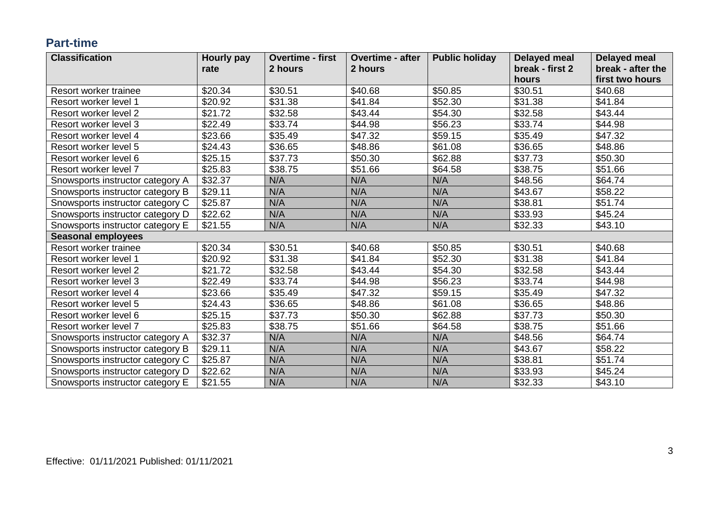#### **Part-time**

| <b>Classification</b>            | Hourly pay | <b>Overtime - first</b> | <b>Overtime - after</b> | <b>Public holiday</b> | <b>Delayed meal</b> | <b>Delayed meal</b> |
|----------------------------------|------------|-------------------------|-------------------------|-----------------------|---------------------|---------------------|
|                                  | rate       | 2 hours                 | 2 hours                 |                       | break - first 2     | break - after the   |
|                                  |            |                         |                         |                       | hours               | first two hours     |
| Resort worker trainee            | \$20.34    | \$30.51                 | \$40.68                 | \$50.85               | \$30.51             | \$40.68             |
| Resort worker level 1            | \$20.92    | \$31.38                 | \$41.84                 | \$52.30               | \$31.38             | \$41.84             |
| Resort worker level 2            | \$21.72    | \$32.58                 | \$43.44                 | \$54.30               | \$32.58             | \$43.44             |
| Resort worker level 3            | \$22.49    | \$33.74                 | \$44.98                 | \$56.23               | \$33.74             | \$44.98             |
| Resort worker level 4            | \$23.66    | \$35.49                 | \$47.32                 | \$59.15               | \$35.49             | \$47.32             |
| Resort worker level 5            | \$24.43    | \$36.65                 | \$48.86                 | \$61.08               | \$36.65             | \$48.86             |
| Resort worker level 6            | \$25.15    | \$37.73                 | \$50.30                 | \$62.88               | \$37.73             | \$50.30             |
| Resort worker level 7            | \$25.83    | \$38.75                 | \$51.66                 | \$64.58               | \$38.75             | \$51.66             |
| Snowsports instructor category A | \$32.37    | N/A                     | N/A                     | N/A                   | \$48.56             | \$64.74             |
| Snowsports instructor category B | \$29.11    | N/A                     | N/A                     | N/A                   | \$43.67             | \$58.22             |
| Snowsports instructor category C | \$25.87    | N/A                     | N/A                     | N/A                   | \$38.81             | \$51.74             |
| Snowsports instructor category D | \$22.62    | N/A                     | N/A                     | N/A                   | \$33.93             | \$45.24             |
| Snowsports instructor category E | \$21.55    | N/A                     | N/A                     | N/A                   | \$32.33             | \$43.10             |
| <b>Seasonal employees</b>        |            |                         |                         |                       |                     |                     |
| Resort worker trainee            | \$20.34    | \$30.51                 | \$40.68                 | \$50.85               | \$30.51             | \$40.68             |
| Resort worker level 1            | \$20.92    | \$31.38                 | \$41.84                 | \$52.30               | \$31.38             | \$41.84             |
| Resort worker level 2            | \$21.72    | \$32.58                 | \$43.44                 | \$54.30               | \$32.58             | \$43.44             |
| Resort worker level 3            | \$22.49    | \$33.74                 | \$44.98                 | \$56.23               | \$33.74             | \$44.98             |
| Resort worker level 4            | \$23.66    | \$35.49                 | \$47.32                 | \$59.15               | \$35.49             | \$47.32             |
| Resort worker level 5            | \$24.43    | \$36.65                 | \$48.86                 | \$61.08               | \$36.65             | \$48.86             |
| Resort worker level 6            | \$25.15    | \$37.73                 | \$50.30                 | \$62.88               | \$37.73             | \$50.30             |
| Resort worker level 7            | \$25.83    | \$38.75                 | \$51.66                 | \$64.58               | \$38.75             | \$51.66             |
| Snowsports instructor category A | \$32.37    | N/A                     | N/A                     | N/A                   | \$48.56             | \$64.74             |
| Snowsports instructor category B | \$29.11    | N/A                     | N/A                     | N/A                   | \$43.67             | \$58.22             |
| Snowsports instructor category C | \$25.87    | N/A                     | N/A                     | N/A                   | \$38.81             | \$51.74             |
| Snowsports instructor category D | \$22.62    | N/A                     | N/A                     | N/A                   | \$33.93             | \$45.24             |
| Snowsports instructor category E | \$21.55    | N/A                     | N/A                     | N/A                   | \$32.33             | \$43.10             |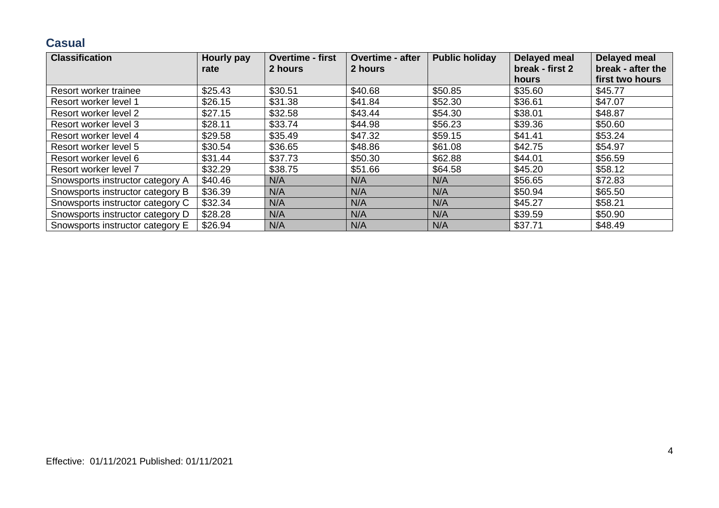#### **Casual**

| <b>Classification</b>            | Hourly pay | <b>Overtime - first</b> | <b>Overtime - after</b> | <b>Public holiday</b> | <b>Delayed meal</b> | Delayed meal      |
|----------------------------------|------------|-------------------------|-------------------------|-----------------------|---------------------|-------------------|
|                                  | rate       | 2 hours                 | 2 hours                 |                       | break - first 2     | break - after the |
|                                  |            |                         |                         |                       | hours               | first two hours   |
| Resort worker trainee            | \$25.43    | \$30.51                 | \$40.68                 | \$50.85               | \$35.60             | \$45.77           |
| Resort worker level 1            | \$26.15    | \$31.38                 | \$41.84                 | \$52.30               | \$36.61             | \$47.07           |
| Resort worker level 2            | \$27.15    | \$32.58                 | \$43.44                 | \$54.30               | \$38.01             | \$48.87           |
| Resort worker level 3            | \$28.11    | \$33.74                 | \$44.98                 | \$56.23               | \$39.36             | \$50.60           |
| Resort worker level 4            | \$29.58    | \$35.49                 | \$47.32                 | \$59.15               | \$41.41             | \$53.24           |
| Resort worker level 5            | \$30.54    | \$36.65                 | \$48.86                 | \$61.08               | \$42.75             | \$54.97           |
| Resort worker level 6            | \$31.44    | \$37.73                 | \$50.30                 | \$62.88               | \$44.01             | \$56.59           |
| Resort worker level 7            | \$32.29    | \$38.75                 | \$51.66                 | \$64.58               | \$45.20             | \$58.12           |
| Snowsports instructor category A | \$40.46    | N/A                     | N/A                     | N/A                   | \$56.65             | \$72.83           |
| Snowsports instructor category B | \$36.39    | N/A                     | N/A                     | N/A                   | \$50.94             | \$65.50           |
| Snowsports instructor category C | \$32.34    | N/A                     | N/A                     | N/A                   | \$45.27             | \$58.21           |
| Snowsports instructor category D | \$28.28    | N/A                     | N/A                     | N/A                   | \$39.59             | \$50.90           |
| Snowsports instructor category E | \$26.94    | N/A                     | N/A                     | N/A                   | \$37.71             | \$48.49           |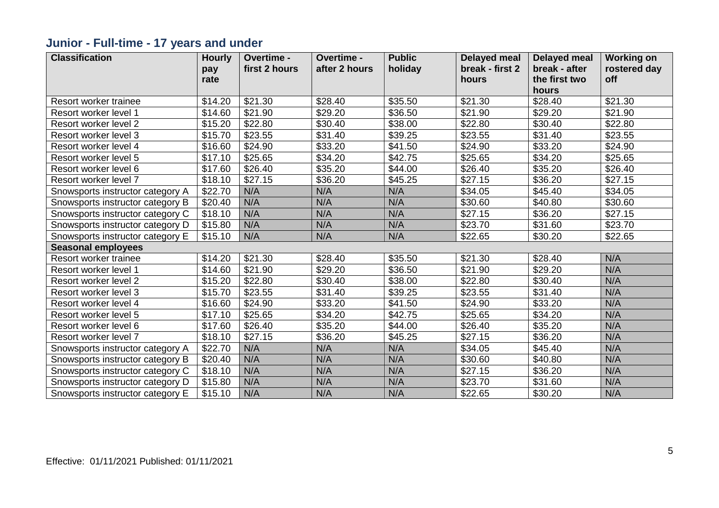## **Junior - Full-time - 17 years and under**

| <b>Classification</b>            | <b>Hourly</b> | Overtime -    | Overtime -    | <b>Public</b> | <b>Delayed meal</b> | <b>Delayed meal</b> | <b>Working on</b> |
|----------------------------------|---------------|---------------|---------------|---------------|---------------------|---------------------|-------------------|
|                                  | pay           | first 2 hours | after 2 hours | holiday       | break - first 2     | break - after       | rostered day      |
|                                  | rate          |               |               |               | hours               | the first two       | off               |
|                                  |               |               |               |               |                     | hours               |                   |
| Resort worker trainee            | \$14.20       | \$21.30       | \$28.40       | \$35.50       | \$21.30             | \$28.40             | \$21.30           |
| Resort worker level 1            | \$14.60       | \$21.90       | \$29.20       | \$36.50       | \$21.90             | \$29.20             | \$21.90           |
| Resort worker level 2            | \$15.20       | \$22.80       | \$30.40       | \$38.00       | \$22.80             | \$30.40             | \$22.80           |
| Resort worker level 3            | \$15.70       | \$23.55       | \$31.40       | \$39.25       | \$23.55             | \$31.40             | \$23.55           |
| Resort worker level 4            | \$16.60       | \$24.90       | \$33.20       | \$41.50       | \$24.90             | \$33.20             | \$24.90           |
| Resort worker level 5            | \$17.10       | \$25.65       | \$34.20       | \$42.75       | \$25.65             | \$34.20             | \$25.65           |
| Resort worker level 6            | \$17.60       | \$26.40       | \$35.20       | \$44.00       | \$26.40             | \$35.20             | \$26.40           |
| Resort worker level 7            | \$18.10       | \$27.15       | \$36.20       | \$45.25       | \$27.15             | \$36.20             | \$27.15           |
| Snowsports instructor category A | \$22.70       | N/A           | N/A           | N/A           | \$34.05             | \$45.40             | \$34.05           |
| Snowsports instructor category B | \$20.40       | N/A           | N/A           | N/A           | \$30.60             | \$40.80             | \$30.60           |
| Snowsports instructor category C | \$18.10       | N/A           | N/A           | N/A           | \$27.15             | \$36.20             | \$27.15           |
| Snowsports instructor category D | \$15.80       | N/A           | N/A           | N/A           | \$23.70             | \$31.60             | \$23.70           |
| Snowsports instructor category E | \$15.10       | N/A           | N/A           | N/A           | \$22.65             | \$30.20             | \$22.65           |
| <b>Seasonal employees</b>        |               |               |               |               |                     |                     |                   |
| Resort worker trainee            | \$14.20       | \$21.30       | \$28.40       | \$35.50       | \$21.30             | \$28.40             | N/A               |
| Resort worker level 1            | \$14.60       | \$21.90       | \$29.20       | \$36.50       | \$21.90             | \$29.20             | N/A               |
| Resort worker level 2            | \$15.20       | \$22.80       | \$30.40       | \$38.00       | \$22.80             | \$30.40             | N/A               |
| Resort worker level 3            | \$15.70       | \$23.55       | \$31.40       | \$39.25       | \$23.55             | \$31.40             | N/A               |
| Resort worker level 4            | \$16.60       | \$24.90       | \$33.20       | \$41.50       | \$24.90             | \$33.20             | N/A               |
| Resort worker level 5            | \$17.10       | \$25.65       | \$34.20       | \$42.75       | \$25.65             | \$34.20             | N/A               |
| Resort worker level 6            | \$17.60       | \$26.40       | \$35.20       | \$44.00       | \$26.40             | \$35.20             | N/A               |
| Resort worker level 7            | \$18.10       | \$27.15       | \$36.20       | \$45.25       | \$27.15             | \$36.20             | N/A               |
| Snowsports instructor category A | \$22.70       | N/A           | N/A           | N/A           | $\overline{$}34.05$ | \$45.40             | N/A               |
| Snowsports instructor category B | \$20.40       | N/A           | N/A           | N/A           | \$30.60             | \$40.80             | N/A               |
| Snowsports instructor category C | \$18.10       | N/A           | N/A           | N/A           | \$27.15             | \$36.20             | N/A               |
| Snowsports instructor category D | \$15.80       | N/A           | N/A           | N/A           | \$23.70             | \$31.60             | N/A               |
| Snowsports instructor category E | \$15.10       | N/A           | N/A           | N/A           | \$22.65             | \$30.20             | N/A               |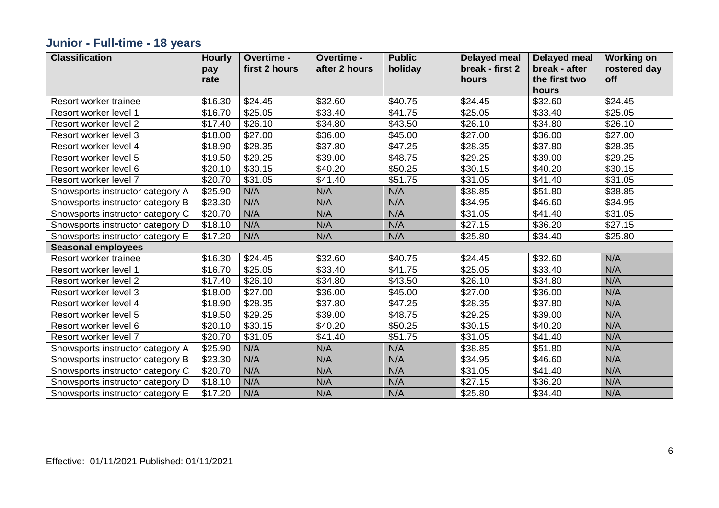## **Junior - Full-time - 18 years**

| <b>Classification</b>            | <b>Hourly</b> | Overtime -    | Overtime -          | <b>Public</b>       | <b>Delayed meal</b> | <b>Delayed meal</b> | <b>Working on</b> |
|----------------------------------|---------------|---------------|---------------------|---------------------|---------------------|---------------------|-------------------|
|                                  | pay           | first 2 hours | after 2 hours       | holiday             | break - first 2     | break - after       | rostered day      |
|                                  | rate          |               |                     |                     | hours               | the first two       | off               |
|                                  |               |               |                     |                     |                     | hours               |                   |
| Resort worker trainee            | \$16.30       | \$24.45       | \$32.60             | \$40.75             | \$24.45             | \$32.60             | \$24.45           |
| Resort worker level 1            | \$16.70       | \$25.05       | \$33.40             | \$41.75             | \$25.05             | \$33.40             | \$25.05           |
| Resort worker level 2            | \$17.40       | \$26.10       | \$34.80             | \$43.50             | \$26.10             | \$34.80             | \$26.10           |
| Resort worker level 3            | \$18.00       | \$27.00       | \$36.00             | \$45.00             | \$27.00             | \$36.00             | \$27.00           |
| Resort worker level 4            | \$18.90       | \$28.35       | \$37.80             | \$47.25             | \$28.35             | \$37.80             | \$28.35           |
| Resort worker level 5            | \$19.50       | \$29.25       | \$39.00             | \$48.75             | \$29.25             | \$39.00             | \$29.25           |
| Resort worker level 6            | \$20.10       | \$30.15       | \$40.20             | \$50.25             | \$30.15             | \$40.20             | \$30.15           |
| Resort worker level 7            | \$20.70       | \$31.05       | \$41.40             | $\overline{$}51.75$ | \$31.05             | \$41.40             | \$31.05           |
| Snowsports instructor category A | \$25.90       | N/A           | N/A                 | N/A                 | \$38.85             | \$51.80             | \$38.85           |
| Snowsports instructor category B | \$23.30       | N/A           | N/A                 | N/A                 | \$34.95             | \$46.60             | \$34.95           |
| Snowsports instructor category C | \$20.70       | N/A           | N/A                 | N/A                 | \$31.05             | \$41.40             | \$31.05           |
| Snowsports instructor category D | \$18.10       | N/A           | N/A                 | N/A                 | \$27.15             | \$36.20             | \$27.15           |
| Snowsports instructor category E | \$17.20       | N/A           | N/A                 | N/A                 | \$25.80             | \$34.40             | \$25.80           |
| <b>Seasonal employees</b>        |               |               |                     |                     |                     |                     |                   |
| Resort worker trainee            | \$16.30       | \$24.45       | \$32.60             | \$40.75             | \$24.45             | \$32.60             | N/A               |
| Resort worker level 1            | \$16.70       | \$25.05       | \$33.40             | \$41.75             | \$25.05             | \$33.40             | N/A               |
| Resort worker level 2            | \$17.40       | \$26.10       | \$34.80             | \$43.50             | \$26.10             | \$34.80             | N/A               |
| Resort worker level 3            | \$18.00       | \$27.00       | \$36.00             | \$45.00             | \$27.00             | \$36.00             | N/A               |
| Resort worker level 4            | \$18.90       | \$28.35       | \$37.80             | \$47.25             | \$28.35             | \$37.80             | N/A               |
| Resort worker level 5            | \$19.50       | \$29.25       | $\overline{$}39.00$ | \$48.75             | \$29.25             | \$39.00             | N/A               |
| Resort worker level 6            | \$20.10       | \$30.15       | \$40.20             | \$50.25             | \$30.15             | \$40.20             | N/A               |
| Resort worker level 7            | \$20.70       | \$31.05       | \$41.40             | \$51.75             | \$31.05             | \$41.40             | N/A               |
| Snowsports instructor category A | \$25.90       | N/A           | N/A                 | N/A                 | \$38.85             | \$51.80             | N/A               |
| Snowsports instructor category B | \$23.30       | N/A           | N/A                 | N/A                 | \$34.95             | \$46.60             | N/A               |
| Snowsports instructor category C | \$20.70       | N/A           | N/A                 | N/A                 | \$31.05             | \$41.40             | N/A               |
| Snowsports instructor category D | \$18.10       | N/A           | N/A                 | N/A                 | \$27.15             | \$36.20             | N/A               |
| Snowsports instructor category E | \$17.20       | N/A           | N/A                 | N/A                 | \$25.80             | \$34.40             | N/A               |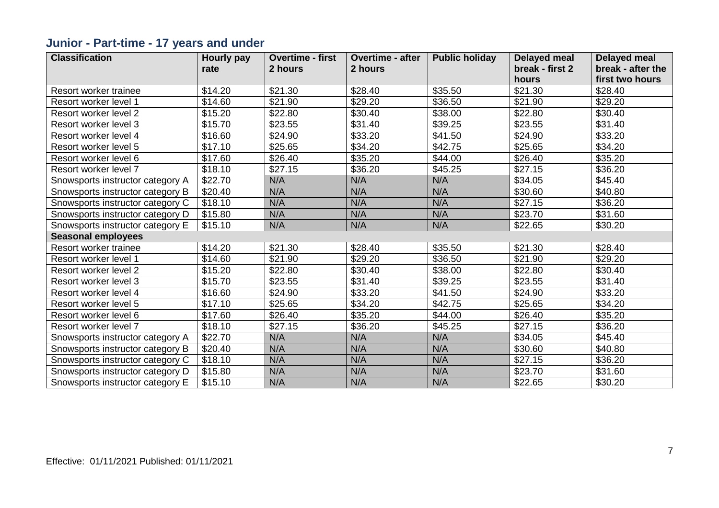## **Junior - Part-time - 17 years and under**

| <b>Classification</b>            | Hourly pay | <b>Overtime - first</b> | <b>Overtime - after</b> | <b>Public holiday</b> | <b>Delayed meal</b> | <b>Delayed meal</b> |
|----------------------------------|------------|-------------------------|-------------------------|-----------------------|---------------------|---------------------|
|                                  | rate       | 2 hours                 | 2 hours                 |                       | break - first 2     | break - after the   |
|                                  |            |                         |                         |                       | hours               | first two hours     |
| Resort worker trainee            | \$14.20    | \$21.30                 | \$28.40                 | \$35.50               | \$21.30             | \$28.40             |
| Resort worker level 1            | \$14.60    | \$21.90                 | \$29.20                 | \$36.50               | \$21.90             | \$29.20             |
| Resort worker level 2            | \$15.20    | \$22.80                 | \$30.40                 | \$38.00               | \$22.80             | \$30.40             |
| Resort worker level 3            | \$15.70    | \$23.55                 | \$31.40                 | \$39.25               | \$23.55             | \$31.40             |
| Resort worker level 4            | \$16.60    | \$24.90                 | \$33.20                 | \$41.50               | \$24.90             | \$33.20             |
| Resort worker level 5            | \$17.10    | \$25.65                 | \$34.20                 | \$42.75               | \$25.65             | \$34.20             |
| Resort worker level 6            | \$17.60    | \$26.40                 | \$35.20                 | \$44.00               | \$26.40             | \$35.20             |
| Resort worker level 7            | \$18.10    | \$27.15                 | \$36.20                 | \$45.25               | \$27.15             | \$36.20             |
| Snowsports instructor category A | \$22.70    | N/A                     | N/A                     | N/A                   | \$34.05             | \$45.40             |
| Snowsports instructor category B | \$20.40    | N/A                     | N/A                     | N/A                   | \$30.60             | \$40.80             |
| Snowsports instructor category C | \$18.10    | N/A                     | N/A                     | N/A                   | \$27.15             | \$36.20             |
| Snowsports instructor category D | \$15.80    | N/A                     | N/A                     | N/A                   | \$23.70             | \$31.60             |
| Snowsports instructor category E | \$15.10    | N/A                     | N/A                     | N/A                   | \$22.65             | \$30.20             |
| <b>Seasonal employees</b>        |            |                         |                         |                       |                     |                     |
| Resort worker trainee            | \$14.20    | \$21.30                 | \$28.40                 | \$35.50               | \$21.30             | \$28.40             |
| Resort worker level 1            | \$14.60    | \$21.90                 | \$29.20                 | \$36.50               | \$21.90             | \$29.20             |
| Resort worker level 2            | \$15.20    | \$22.80                 | \$30.40                 | \$38.00               | \$22.80             | \$30.40             |
| Resort worker level 3            | \$15.70    | \$23.55                 | \$31.40                 | \$39.25               | \$23.55             | \$31.40             |
| Resort worker level 4            | \$16.60    | \$24.90                 | \$33.20                 | \$41.50               | \$24.90             | \$33.20             |
| Resort worker level 5            | \$17.10    | \$25.65                 | \$34.20                 | \$42.75               | \$25.65             | \$34.20             |
| Resort worker level 6            | \$17.60    | \$26.40                 | \$35.20                 | \$44.00               | \$26.40             | \$35.20             |
| Resort worker level 7            | \$18.10    | \$27.15                 | \$36.20                 | \$45.25               | \$27.15             | \$36.20             |
| Snowsports instructor category A | \$22.70    | N/A                     | N/A                     | N/A                   | \$34.05             | \$45.40             |
| Snowsports instructor category B | \$20.40    | N/A                     | N/A                     | N/A                   | \$30.60             | \$40.80             |
| Snowsports instructor category C | \$18.10    | N/A                     | N/A                     | N/A                   | \$27.15             | \$36.20             |
| Snowsports instructor category D | \$15.80    | N/A                     | N/A                     | N/A                   | \$23.70             | \$31.60             |
| Snowsports instructor category E | \$15.10    | N/A                     | N/A                     | N/A                   | \$22.65             | \$30.20             |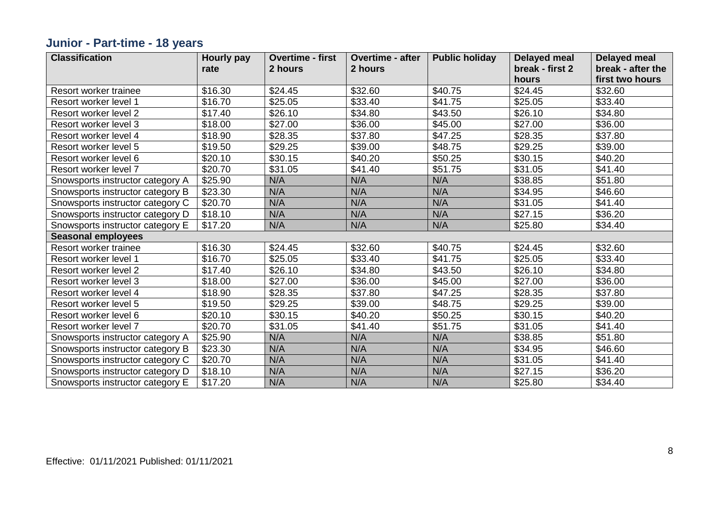## **Junior - Part-time - 18 years**

| <b>Classification</b>            | Hourly pay | <b>Overtime - first</b> | <b>Overtime - after</b> | <b>Public holiday</b> | <b>Delayed meal</b> | <b>Delayed meal</b> |
|----------------------------------|------------|-------------------------|-------------------------|-----------------------|---------------------|---------------------|
|                                  | rate       | 2 hours                 | 2 hours                 |                       | break - first 2     | break - after the   |
|                                  |            |                         |                         |                       | hours               | first two hours     |
| Resort worker trainee            | \$16.30    | \$24.45                 | \$32.60                 | \$40.75               | \$24.45             | \$32.60             |
| Resort worker level 1            | \$16.70    | \$25.05                 | \$33.40                 | \$41.75               | \$25.05             | \$33.40             |
| Resort worker level 2            | \$17.40    | \$26.10                 | \$34.80                 | \$43.50               | \$26.10             | \$34.80             |
| Resort worker level 3            | \$18.00    | \$27.00                 | \$36.00                 | \$45.00               | \$27.00             | \$36.00             |
| Resort worker level 4            | \$18.90    | \$28.35                 | \$37.80                 | \$47.25               | \$28.35             | \$37.80             |
| Resort worker level 5            | \$19.50    | \$29.25                 | \$39.00                 | \$48.75               | \$29.25             | \$39.00             |
| Resort worker level 6            | \$20.10    | \$30.15                 | \$40.20                 | \$50.25               | \$30.15             | \$40.20             |
| Resort worker level 7            | \$20.70    | \$31.05                 | \$41.40                 | \$51.75               | \$31.05             | \$41.40             |
| Snowsports instructor category A | \$25.90    | N/A                     | N/A                     | N/A                   | \$38.85             | \$51.80             |
| Snowsports instructor category B | \$23.30    | N/A                     | N/A                     | N/A                   | \$34.95             | \$46.60             |
| Snowsports instructor category C | \$20.70    | N/A                     | N/A                     | N/A                   | \$31.05             | \$41.40             |
| Snowsports instructor category D | \$18.10    | N/A                     | N/A                     | N/A                   | \$27.15             | \$36.20             |
| Snowsports instructor category E | \$17.20    | N/A                     | N/A                     | N/A                   | \$25.80             | \$34.40             |
| <b>Seasonal employees</b>        |            |                         |                         |                       |                     |                     |
| Resort worker trainee            | \$16.30    | \$24.45                 | \$32.60                 | \$40.75               | \$24.45             | \$32.60             |
| Resort worker level 1            | \$16.70    | \$25.05                 | \$33.40                 | \$41.75               | \$25.05             | \$33.40             |
| Resort worker level 2            | \$17.40    | \$26.10                 | \$34.80                 | \$43.50               | \$26.10             | \$34.80             |
| Resort worker level 3            | \$18.00    | \$27.00                 | \$36.00                 | \$45.00               | \$27.00             | \$36.00             |
| Resort worker level 4            | \$18.90    | \$28.35                 | \$37.80                 | \$47.25               | \$28.35             | \$37.80             |
| Resort worker level 5            | \$19.50    | \$29.25                 | \$39.00                 | \$48.75               | \$29.25             | \$39.00             |
| Resort worker level 6            | \$20.10    | \$30.15                 | \$40.20                 | \$50.25               | \$30.15             | \$40.20             |
| Resort worker level 7            | \$20.70    | \$31.05                 | \$41.40                 | \$51.75               | \$31.05             | \$41.40             |
| Snowsports instructor category A | \$25.90    | N/A                     | N/A                     | N/A                   | \$38.85             | \$51.80             |
| Snowsports instructor category B | \$23.30    | N/A                     | N/A                     | N/A                   | \$34.95             | \$46.60             |
| Snowsports instructor category C | \$20.70    | N/A                     | N/A                     | N/A                   | \$31.05             | \$41.40             |
| Snowsports instructor category D | \$18.10    | N/A                     | N/A                     | N/A                   | \$27.15             | \$36.20             |
| Snowsports instructor category E | \$17.20    | N/A                     | N/A                     | N/A                   | \$25.80             | \$34.40             |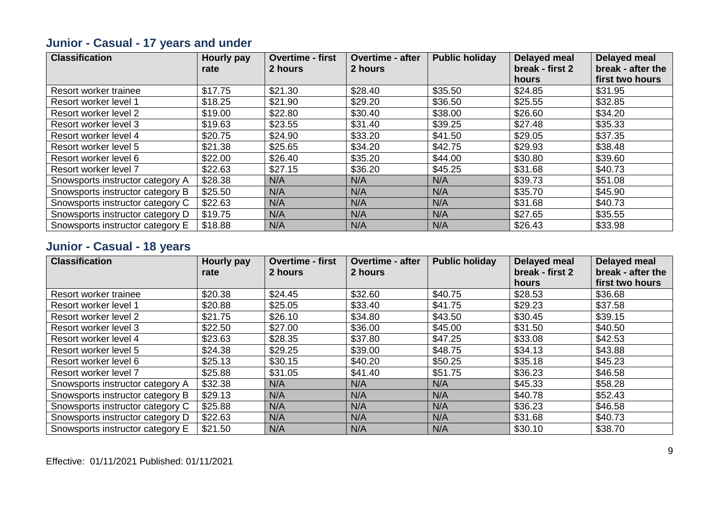## **Junior - Casual - 17 years and under**

| <b>Classification</b>            | Hourly pay | <b>Overtime - first</b> | <b>Overtime - after</b> | <b>Public holiday</b> | Delayed meal    | <b>Delayed meal</b> |
|----------------------------------|------------|-------------------------|-------------------------|-----------------------|-----------------|---------------------|
|                                  | rate       | 2 hours                 | 2 hours                 |                       | break - first 2 | break - after the   |
|                                  |            |                         |                         |                       | hours           | first two hours     |
| Resort worker trainee            | \$17.75    | \$21.30                 | \$28.40                 | \$35.50               | \$24.85         | \$31.95             |
| Resort worker level 1            | \$18.25    | \$21.90                 | \$29.20                 | \$36.50               | \$25.55         | \$32.85             |
| Resort worker level 2            | \$19.00    | \$22.80                 | \$30.40                 | \$38.00               | \$26.60         | \$34.20             |
| Resort worker level 3            | \$19.63    | \$23.55                 | \$31.40                 | \$39.25               | \$27.48         | \$35.33             |
| Resort worker level 4            | \$20.75    | \$24.90                 | \$33.20                 | \$41.50               | \$29.05         | \$37.35             |
| Resort worker level 5            | \$21.38    | \$25.65                 | \$34.20                 | \$42.75               | \$29.93         | \$38.48             |
| Resort worker level 6            | \$22.00    | \$26.40                 | \$35.20                 | \$44.00               | \$30.80         | \$39.60             |
| Resort worker level 7            | \$22.63    | \$27.15                 | \$36.20                 | \$45.25               | \$31.68         | \$40.73             |
| Snowsports instructor category A | \$28.38    | N/A                     | N/A                     | N/A                   | \$39.73         | \$51.08             |
| Snowsports instructor category B | \$25.50    | N/A                     | N/A                     | N/A                   | \$35.70         | \$45.90             |
| Snowsports instructor category C | \$22.63    | N/A                     | N/A                     | N/A                   | \$31.68         | \$40.73             |
| Snowsports instructor category D | \$19.75    | N/A                     | N/A                     | N/A                   | \$27.65         | \$35.55             |
| Snowsports instructor category E | \$18.88    | N/A                     | N/A                     | N/A                   | \$26.43         | \$33.98             |

#### **Junior - Casual - 18 years**

| <b>Classification</b>            | Hourly pay | <b>Overtime - first</b> | <b>Overtime - after</b> | <b>Public holiday</b> | Delayed meal    | <b>Delayed meal</b> |
|----------------------------------|------------|-------------------------|-------------------------|-----------------------|-----------------|---------------------|
|                                  | rate       | 2 hours                 | 2 hours                 |                       | break - first 2 | break - after the   |
|                                  |            |                         |                         |                       | hours           | first two hours     |
| Resort worker trainee            | \$20.38    | \$24.45                 | \$32.60                 | \$40.75               | \$28.53         | \$36.68             |
| Resort worker level 1            | \$20.88    | \$25.05                 | \$33.40                 | \$41.75               | \$29.23         | \$37.58             |
| Resort worker level 2            | \$21.75    | \$26.10                 | \$34.80                 | \$43.50               | \$30.45         | \$39.15             |
| Resort worker level 3            | \$22.50    | \$27.00                 | \$36.00                 | \$45.00               | \$31.50         | \$40.50             |
| Resort worker level 4            | \$23.63    | \$28.35                 | \$37.80                 | \$47.25               | \$33.08         | \$42.53             |
| Resort worker level 5            | \$24.38    | \$29.25                 | \$39.00                 | \$48.75               | \$34.13         | \$43.88             |
| Resort worker level 6            | \$25.13    | \$30.15                 | \$40.20                 | \$50.25               | \$35.18         | \$45.23             |
| Resort worker level 7            | \$25.88    | \$31.05                 | \$41.40                 | \$51.75               | \$36.23         | \$46.58             |
| Snowsports instructor category A | \$32.38    | N/A                     | N/A                     | N/A                   | \$45.33         | \$58.28             |
| Snowsports instructor category B | \$29.13    | N/A                     | N/A                     | N/A                   | \$40.78         | \$52.43             |
| Snowsports instructor category C | \$25.88    | N/A                     | N/A                     | N/A                   | \$36.23         | \$46.58             |
| Snowsports instructor category D | \$22.63    | N/A                     | N/A                     | N/A                   | \$31.68         | \$40.73             |
| Snowsports instructor category E | \$21.50    | N/A                     | N/A                     | N/A                   | \$30.10         | \$38.70             |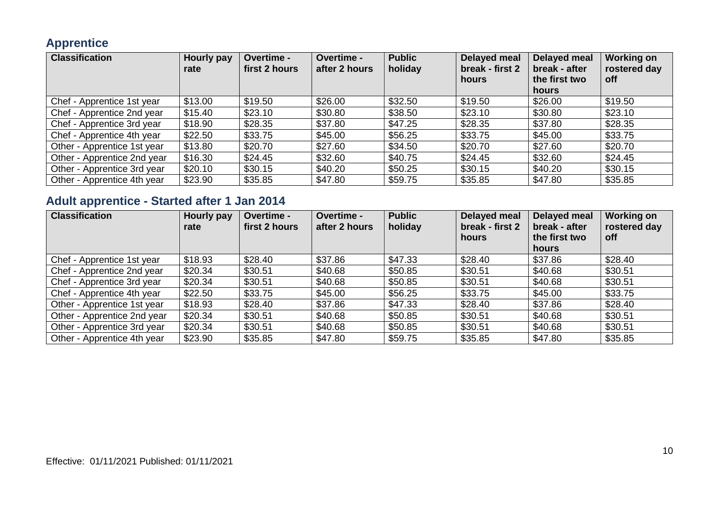#### **Apprentice**

| <b>Classification</b>       | Hourly pay<br>rate | <b>Overtime -</b><br>first 2 hours | <b>Overtime -</b><br>after 2 hours | <b>Public</b><br>holiday | Delayed meal<br>break - first 2<br>hours | Delayed meal<br>break - after<br>the first two<br><b>hours</b> | <b>Working on</b><br>rostered day<br><b>off</b> |
|-----------------------------|--------------------|------------------------------------|------------------------------------|--------------------------|------------------------------------------|----------------------------------------------------------------|-------------------------------------------------|
| Chef - Apprentice 1st year  | \$13.00            | \$19.50                            | \$26.00                            | \$32.50                  | \$19.50                                  | \$26.00                                                        | \$19.50                                         |
| Chef - Apprentice 2nd year  | \$15.40            | \$23.10                            | \$30.80                            | \$38.50                  | \$23.10                                  | \$30.80                                                        | \$23.10                                         |
| Chef - Apprentice 3rd year  | \$18.90            | \$28.35                            | \$37.80                            | \$47.25                  | \$28.35                                  | \$37.80                                                        | \$28.35                                         |
| Chef - Apprentice 4th year  | \$22.50            | \$33.75                            | \$45.00                            | \$56.25                  | \$33.75                                  | \$45.00                                                        | \$33.75                                         |
| Other - Apprentice 1st year | \$13.80            | \$20.70                            | \$27.60                            | \$34.50                  | \$20.70                                  | \$27.60                                                        | \$20.70                                         |
| Other - Apprentice 2nd year | \$16.30            | \$24.45                            | \$32.60                            | \$40.75                  | \$24.45                                  | \$32.60                                                        | \$24.45                                         |
| Other - Apprentice 3rd year | \$20.10            | \$30.15                            | \$40.20                            | \$50.25                  | \$30.15                                  | \$40.20                                                        | \$30.15                                         |
| Other - Apprentice 4th year | \$23.90            | \$35.85                            | \$47.80                            | \$59.75                  | \$35.85                                  | \$47.80                                                        | \$35.85                                         |

## **Adult apprentice - Started after 1 Jan 2014**

| <b>Classification</b>       | Hourly pay<br>rate | <b>Overtime -</b><br>first 2 hours | <b>Overtime -</b><br>after 2 hours | <b>Public</b><br>holiday | Delayed meal<br>break - first 2<br>hours | Delayed meal<br>break - after<br>the first two | <b>Working on</b><br>rostered day<br>off |
|-----------------------------|--------------------|------------------------------------|------------------------------------|--------------------------|------------------------------------------|------------------------------------------------|------------------------------------------|
|                             |                    |                                    |                                    |                          |                                          | hours                                          |                                          |
| Chef - Apprentice 1st year  | \$18.93            | \$28.40                            | \$37.86                            | \$47.33                  | \$28.40                                  | \$37.86                                        | \$28.40                                  |
| Chef - Apprentice 2nd year  | \$20.34            | \$30.51                            | \$40.68                            | \$50.85                  | \$30.51                                  | \$40.68                                        | \$30.51                                  |
| Chef - Apprentice 3rd year  | \$20.34            | \$30.51                            | \$40.68                            | \$50.85                  | \$30.51                                  | \$40.68                                        | \$30.51                                  |
| Chef - Apprentice 4th year  | \$22.50            | \$33.75                            | \$45.00                            | \$56.25                  | \$33.75                                  | \$45.00                                        | \$33.75                                  |
| Other - Apprentice 1st year | \$18.93            | \$28.40                            | \$37.86                            | \$47.33                  | \$28.40                                  | \$37.86                                        | \$28.40                                  |
| Other - Apprentice 2nd year | \$20.34            | \$30.51                            | \$40.68                            | \$50.85                  | \$30.51                                  | \$40.68                                        | \$30.51                                  |
| Other - Apprentice 3rd year | \$20.34            | \$30.51                            | \$40.68                            | \$50.85                  | \$30.51                                  | \$40.68                                        | \$30.51                                  |
| Other - Apprentice 4th year | \$23.90            | \$35.85                            | \$47.80                            | \$59.75                  | \$35.85                                  | \$47.80                                        | \$35.85                                  |